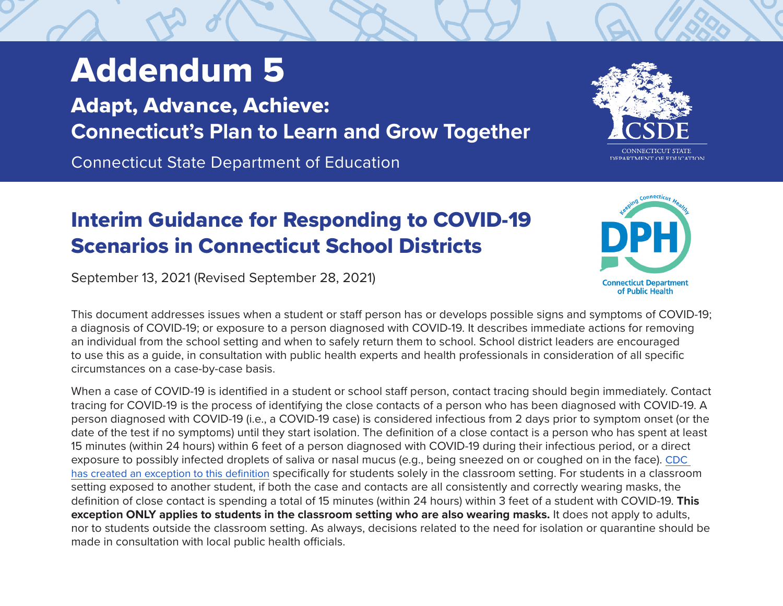## Addendum 5

Adapt, Advance, Achieve: **Connecticut's Plan to Learn and Grow Together**

Connecticut State Department of Education

## Interim Guidance for Responding to COVID-19 Scenarios in Connecticut School Districts

September 13, 2021 (Revised September 28, 2021)

This document addresses issues when a student or staff person has or develops possible signs and symptoms of COVID-19; a diagnosis of COVID-19; or exposure to a person diagnosed with COVID-19. It describes immediate actions for removing an individual from the school setting and when to safely return them to school. School district leaders are encouraged to use this as a guide, in consultation with public health experts and health professionals in consideration of all specific circumstances on a case-by-case basis.

When a case of COVID-19 is identified in a student or school staff person, contact tracing should begin immediately. Contact tracing for COVID-19 is the process of identifying the close contacts of a person who has been diagnosed with COVID-19. A person diagnosed with COVID-19 (i.e., a COVID-19 case) is considered infectious from 2 days prior to symptom onset (or the date of the test if no symptoms) until they start isolation. The definition of a close contact is a person who has spent at least 15 minutes (within 24 hours) within 6 feet of a person diagnosed with COVID-19 during their infectious period, or a direct exposure to possibly infected droplets of saliva or nasal mucus (e.g., being sneezed on or coughed on in the face). [CDC](https://www.cdc.gov/coronavirus/2019-ncov/php/contact-tracing/contact-tracing-plan/appendix.html#contact)  [has created an exception to this definition](https://www.cdc.gov/coronavirus/2019-ncov/php/contact-tracing/contact-tracing-plan/appendix.html#contact) specifically for students solely in the classroom setting. For students in a classroom setting exposed to another student, if both the case and contacts are all consistently and correctly wearing masks, the definition of close contact is spending a total of 15 minutes (within 24 hours) within 3 feet of a student with COVID-19. **This exception ONLY applies to students in the classroom setting who are also wearing masks.** It does not apply to adults, nor to students outside the classroom setting. As always, decisions related to the need for isolation or quarantine should be made in consultation with local public health officials.



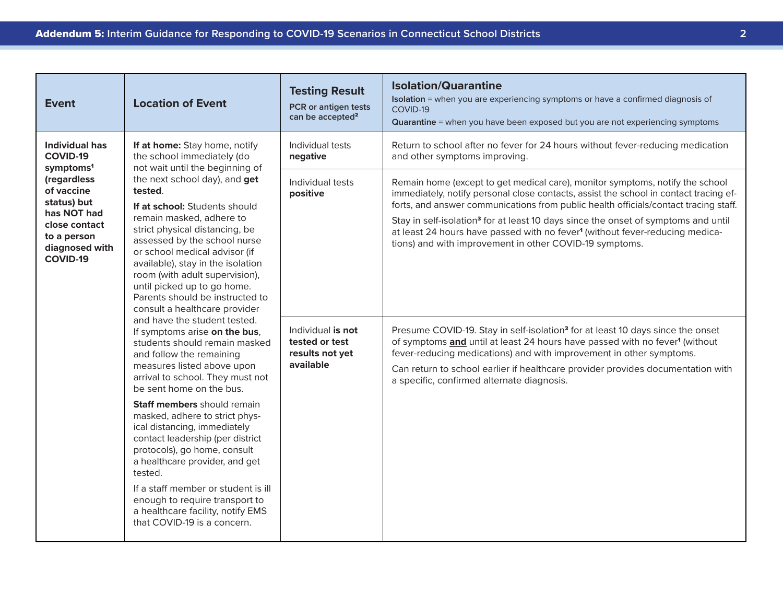| <b>Event</b>                                                                                                                                                                        | <b>Location of Event</b>                                                                                                                                                                                                                                                                                                                                                                                                                                                                                                                                                                                                                                                                                                                                                                                                                              | <b>Testing Result</b><br>PCR or antigen tests<br>can be accepted <sup>2</sup>                                                       | <b>Isolation/Quarantine</b><br>Isolation = when you are experiencing symptoms or have a confirmed diagnosis of<br>COVID-19<br>Quarantine = when you have been exposed but you are not experiencing symptoms                                                                                                                                                                                                                                                                                                                                                                                                                                                                                                                                                                                                                                                                                                                                                                                                                                 |
|-------------------------------------------------------------------------------------------------------------------------------------------------------------------------------------|-------------------------------------------------------------------------------------------------------------------------------------------------------------------------------------------------------------------------------------------------------------------------------------------------------------------------------------------------------------------------------------------------------------------------------------------------------------------------------------------------------------------------------------------------------------------------------------------------------------------------------------------------------------------------------------------------------------------------------------------------------------------------------------------------------------------------------------------------------|-------------------------------------------------------------------------------------------------------------------------------------|---------------------------------------------------------------------------------------------------------------------------------------------------------------------------------------------------------------------------------------------------------------------------------------------------------------------------------------------------------------------------------------------------------------------------------------------------------------------------------------------------------------------------------------------------------------------------------------------------------------------------------------------------------------------------------------------------------------------------------------------------------------------------------------------------------------------------------------------------------------------------------------------------------------------------------------------------------------------------------------------------------------------------------------------|
| Individual has<br><b>COVID-19</b><br>symptoms <sup>1</sup><br>(regardless<br>of vaccine<br>status) but<br>has NOT had<br>close contact<br>to a person<br>diagnosed with<br>COVID-19 | If at home: Stay home, notify<br>the school immediately (do<br>not wait until the beginning of<br>the next school day), and get<br>tested.<br>If at school: Students should<br>remain masked, adhere to<br>strict physical distancing, be<br>assessed by the school nurse<br>or school medical advisor (if<br>available), stay in the isolation<br>room (with adult supervision),<br>until picked up to go home.<br>Parents should be instructed to<br>consult a healthcare provider<br>and have the student tested.<br>If symptoms arise on the bus,<br>students should remain masked<br>and follow the remaining<br>measures listed above upon<br>arrival to school. They must not<br>be sent home on the bus.<br>Staff members should remain<br>masked, adhere to strict phys-<br>ical distancing, immediately<br>contact leadership (per district | Individual tests<br>negative<br>Individual tests<br>positive<br>Individual is not<br>tested or test<br>results not yet<br>available | Return to school after no fever for 24 hours without fever-reducing medication<br>and other symptoms improving.<br>Remain home (except to get medical care), monitor symptoms, notify the school<br>immediately, notify personal close contacts, assist the school in contact tracing ef-<br>forts, and answer communications from public health officials/contact tracing staff.<br>Stay in self-isolation <sup>3</sup> for at least 10 days since the onset of symptoms and until<br>at least 24 hours have passed with no fever <sup>1</sup> (without fever-reducing medica-<br>tions) and with improvement in other COVID-19 symptoms.<br>Presume COVID-19. Stay in self-isolation <sup>3</sup> for at least 10 days since the onset<br>of symptoms and until at least 24 hours have passed with no fever <sup>1</sup> (without<br>fever-reducing medications) and with improvement in other symptoms.<br>Can return to school earlier if healthcare provider provides documentation with<br>a specific, confirmed alternate diagnosis. |
|                                                                                                                                                                                     | protocols), go home, consult<br>a healthcare provider, and get<br>tested.<br>If a staff member or student is ill<br>enough to require transport to<br>a healthcare facility, notify EMS<br>that COVID-19 is a concern.                                                                                                                                                                                                                                                                                                                                                                                                                                                                                                                                                                                                                                |                                                                                                                                     |                                                                                                                                                                                                                                                                                                                                                                                                                                                                                                                                                                                                                                                                                                                                                                                                                                                                                                                                                                                                                                             |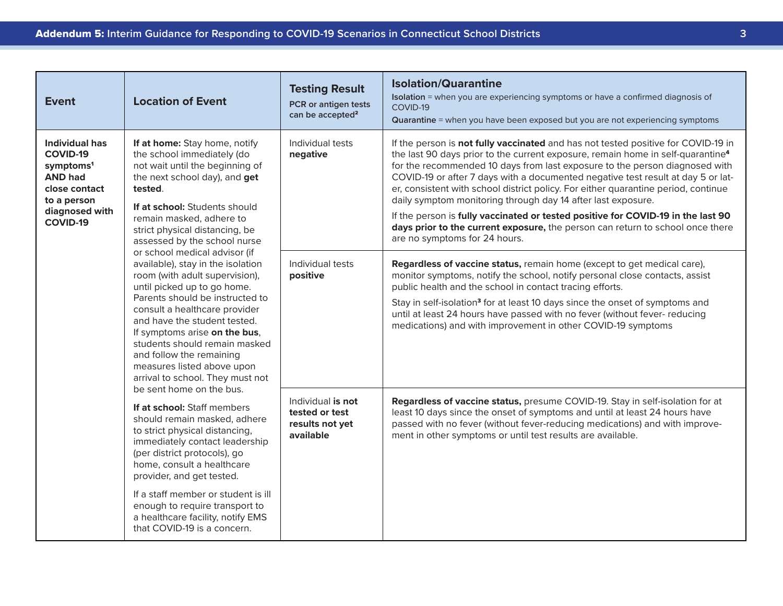| <b>Event</b>                                                                                                                               | <b>Location of Event</b>                                                                                                                                                                                                                                                                                                                                                                                                                                                                                                                                                                                                                                                                                                                                                                                                                                                                                                                       | <b>Testing Result</b><br>PCR or antigen tests<br>can be accepted <sup>2</sup> | <b>Isolation/Quarantine</b><br>Isolation = when you are experiencing symptoms or have a confirmed diagnosis of<br>COVID-19<br>Quarantine = when you have been exposed but you are not experiencing symptoms                                                                                                                                                                                                                                                                                                                                                                                                                                                                                                      |
|--------------------------------------------------------------------------------------------------------------------------------------------|------------------------------------------------------------------------------------------------------------------------------------------------------------------------------------------------------------------------------------------------------------------------------------------------------------------------------------------------------------------------------------------------------------------------------------------------------------------------------------------------------------------------------------------------------------------------------------------------------------------------------------------------------------------------------------------------------------------------------------------------------------------------------------------------------------------------------------------------------------------------------------------------------------------------------------------------|-------------------------------------------------------------------------------|------------------------------------------------------------------------------------------------------------------------------------------------------------------------------------------------------------------------------------------------------------------------------------------------------------------------------------------------------------------------------------------------------------------------------------------------------------------------------------------------------------------------------------------------------------------------------------------------------------------------------------------------------------------------------------------------------------------|
| Individual has<br><b>COVID-19</b><br>symptoms <sup>1</sup><br><b>AND had</b><br>close contact<br>to a person<br>diagnosed with<br>COVID-19 | If at home: Stay home, notify<br>the school immediately (do<br>not wait until the beginning of<br>the next school day), and get<br>tested.<br>If at school: Students should<br>remain masked, adhere to<br>strict physical distancing, be<br>assessed by the school nurse<br>or school medical advisor (if<br>available), stay in the isolation<br>room (with adult supervision),<br>until picked up to go home.<br>Parents should be instructed to<br>consult a healthcare provider<br>and have the student tested.<br>If symptoms arise on the bus,<br>students should remain masked<br>and follow the remaining<br>measures listed above upon<br>arrival to school. They must not<br>be sent home on the bus.<br>If at school: Staff members<br>should remain masked, adhere<br>to strict physical distancing,<br>immediately contact leadership<br>(per district protocols), go<br>home, consult a healthcare<br>provider, and get tested. | Individual tests<br>negative                                                  | If the person is not fully vaccinated and has not tested positive for COVID-19 in<br>the last 90 days prior to the current exposure, remain home in self-quarantine <sup>4</sup><br>for the recommended 10 days from last exposure to the person diagnosed with<br>COVID-19 or after 7 days with a documented negative test result at day 5 or lat-<br>er, consistent with school district policy. For either quarantine period, continue<br>daily symptom monitoring through day 14 after last exposure.<br>If the person is fully vaccinated or tested positive for COVID-19 in the last 90<br>days prior to the current exposure, the person can return to school once there<br>are no symptoms for 24 hours. |
|                                                                                                                                            |                                                                                                                                                                                                                                                                                                                                                                                                                                                                                                                                                                                                                                                                                                                                                                                                                                                                                                                                                | Individual tests<br>positive                                                  | Regardless of vaccine status, remain home (except to get medical care),<br>monitor symptoms, notify the school, notify personal close contacts, assist<br>public health and the school in contact tracing efforts.<br>Stay in self-isolation <sup>3</sup> for at least 10 days since the onset of symptoms and<br>until at least 24 hours have passed with no fever (without fever- reducing<br>medications) and with improvement in other COVID-19 symptoms                                                                                                                                                                                                                                                     |
|                                                                                                                                            |                                                                                                                                                                                                                                                                                                                                                                                                                                                                                                                                                                                                                                                                                                                                                                                                                                                                                                                                                | Individual is not<br>tested or test<br>results not yet<br>available           | Regardless of vaccine status, presume COVID-19. Stay in self-isolation for at<br>least 10 days since the onset of symptoms and until at least 24 hours have<br>passed with no fever (without fever-reducing medications) and with improve-<br>ment in other symptoms or until test results are available.                                                                                                                                                                                                                                                                                                                                                                                                        |
|                                                                                                                                            | If a staff member or student is ill<br>enough to require transport to<br>a healthcare facility, notify EMS<br>that COVID-19 is a concern.                                                                                                                                                                                                                                                                                                                                                                                                                                                                                                                                                                                                                                                                                                                                                                                                      |                                                                               |                                                                                                                                                                                                                                                                                                                                                                                                                                                                                                                                                                                                                                                                                                                  |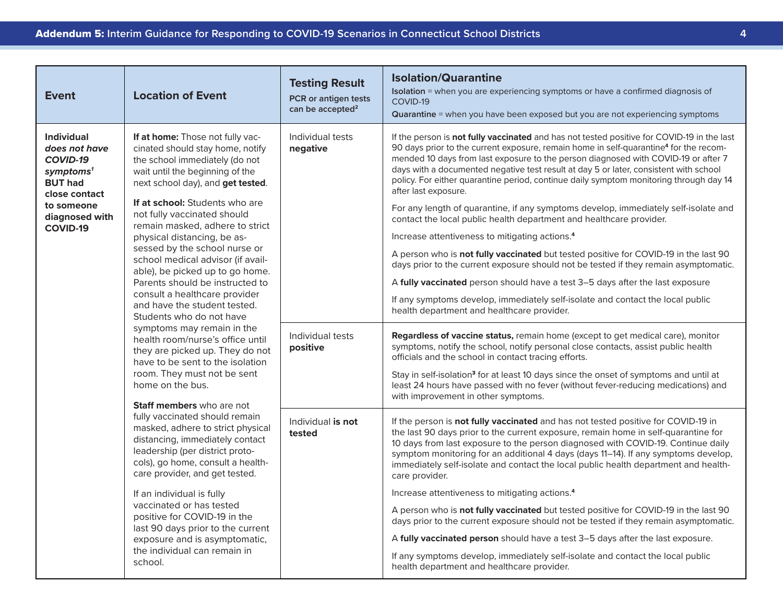| <b>Event</b>                                                                                                                                                  | <b>Location of Event</b>                                                                                                                                                                                                                                                                                                                                                                                                                                                                                                                                                                                                                                                                                                                                                                                                                                                                                                                                                                                | <b>Testing Result</b><br>PCR or antigen tests<br>can be accepted <sup>2</sup> | <b>Isolation/Quarantine</b><br>Isolation = when you are experiencing symptoms or have a confirmed diagnosis of<br>COVID-19<br><b>Quarantine</b> = when you have been exposed but you are not experiencing symptoms                                                                                                                                                                                                                                                                                                                                                                                                                                                                                                                                                                                                                                                                                                                                                                                                                                                                                                                                                                                                                                                                                    |
|---------------------------------------------------------------------------------------------------------------------------------------------------------------|---------------------------------------------------------------------------------------------------------------------------------------------------------------------------------------------------------------------------------------------------------------------------------------------------------------------------------------------------------------------------------------------------------------------------------------------------------------------------------------------------------------------------------------------------------------------------------------------------------------------------------------------------------------------------------------------------------------------------------------------------------------------------------------------------------------------------------------------------------------------------------------------------------------------------------------------------------------------------------------------------------|-------------------------------------------------------------------------------|-------------------------------------------------------------------------------------------------------------------------------------------------------------------------------------------------------------------------------------------------------------------------------------------------------------------------------------------------------------------------------------------------------------------------------------------------------------------------------------------------------------------------------------------------------------------------------------------------------------------------------------------------------------------------------------------------------------------------------------------------------------------------------------------------------------------------------------------------------------------------------------------------------------------------------------------------------------------------------------------------------------------------------------------------------------------------------------------------------------------------------------------------------------------------------------------------------------------------------------------------------------------------------------------------------|
| <b>Individual</b><br>does not have<br>COVID-19<br>symptoms <sup>1</sup><br><b>BUT had</b><br>close contact<br>to someone<br>diagnosed with<br><b>COVID-19</b> | If at home: Those not fully vac-<br>cinated should stay home, notify<br>the school immediately (do not<br>wait until the beginning of the<br>next school day), and get tested.<br>If at school: Students who are<br>not fully vaccinated should<br>remain masked, adhere to strict<br>physical distancing, be as-<br>sessed by the school nurse or<br>school medical advisor (if avail-<br>able), be picked up to go home.<br>Parents should be instructed to<br>consult a healthcare provider<br>and have the student tested.<br>Students who do not have<br>symptoms may remain in the<br>health room/nurse's office until<br>they are picked up. They do not<br>have to be sent to the isolation<br>room. They must not be sent<br>home on the bus.<br>Staff members who are not<br>fully vaccinated should remain<br>masked, adhere to strict physical<br>distancing, immediately contact<br>leadership (per district proto-<br>cols), go home, consult a health-<br>care provider, and get tested. | Individual tests<br>negative<br>Individual tests<br>positive                  | If the person is not fully vaccinated and has not tested positive for COVID-19 in the last<br>90 days prior to the current exposure, remain home in self-quarantine <sup>4</sup> for the recom-<br>mended 10 days from last exposure to the person diagnosed with COVID-19 or after 7<br>days with a documented negative test result at day 5 or later, consistent with school<br>policy. For either quarantine period, continue daily symptom monitoring through day 14<br>after last exposure.<br>For any length of quarantine, if any symptoms develop, immediately self-isolate and<br>contact the local public health department and healthcare provider.<br>Increase attentiveness to mitigating actions. <sup>4</sup><br>A person who is not fully vaccinated but tested positive for COVID-19 in the last 90<br>days prior to the current exposure should not be tested if they remain asymptomatic.<br>A fully vaccinated person should have a test 3-5 days after the last exposure<br>If any symptoms develop, immediately self-isolate and contact the local public<br>health department and healthcare provider.<br>Regardless of vaccine status, remain home (except to get medical care), monitor<br>symptoms, notify the school, notify personal close contacts, assist public health |
|                                                                                                                                                               |                                                                                                                                                                                                                                                                                                                                                                                                                                                                                                                                                                                                                                                                                                                                                                                                                                                                                                                                                                                                         |                                                                               | officials and the school in contact tracing efforts.<br>Stay in self-isolation <sup>3</sup> for at least 10 days since the onset of symptoms and until at<br>least 24 hours have passed with no fever (without fever-reducing medications) and<br>with improvement in other symptoms.                                                                                                                                                                                                                                                                                                                                                                                                                                                                                                                                                                                                                                                                                                                                                                                                                                                                                                                                                                                                                 |
|                                                                                                                                                               |                                                                                                                                                                                                                                                                                                                                                                                                                                                                                                                                                                                                                                                                                                                                                                                                                                                                                                                                                                                                         | Individual is not<br>tested                                                   | If the person is not fully vaccinated and has not tested positive for COVID-19 in<br>the last 90 days prior to the current exposure, remain home in self-quarantine for<br>10 days from last exposure to the person diagnosed with COVID-19. Continue daily<br>symptom monitoring for an additional 4 days (days 11-14). If any symptoms develop,<br>immediately self-isolate and contact the local public health department and health-<br>care provider.                                                                                                                                                                                                                                                                                                                                                                                                                                                                                                                                                                                                                                                                                                                                                                                                                                            |
|                                                                                                                                                               | If an individual is fully<br>vaccinated or has tested<br>positive for COVID-19 in the<br>last 90 days prior to the current<br>exposure and is asymptomatic,<br>the individual can remain in<br>school.                                                                                                                                                                                                                                                                                                                                                                                                                                                                                                                                                                                                                                                                                                                                                                                                  |                                                                               | Increase attentiveness to mitigating actions. <sup>4</sup><br>A person who is <b>not fully vaccinated</b> but tested positive for COVID-19 in the last 90<br>days prior to the current exposure should not be tested if they remain asymptomatic.<br>A fully vaccinated person should have a test 3-5 days after the last exposure.<br>If any symptoms develop, immediately self-isolate and contact the local public<br>health department and healthcare provider.                                                                                                                                                                                                                                                                                                                                                                                                                                                                                                                                                                                                                                                                                                                                                                                                                                   |